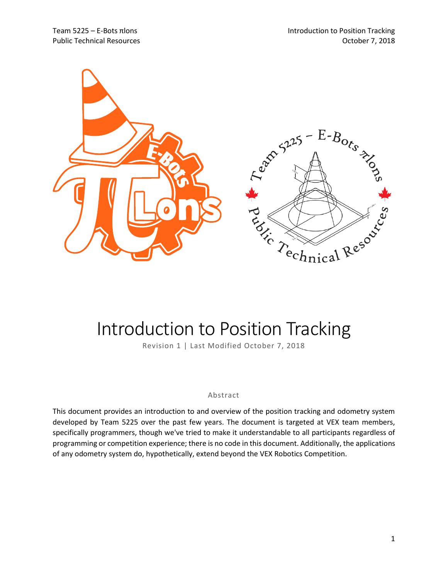

# Introduction to Position Tracking

Revision 1 | Last Modified October 7, 2018

#### Abstract

This document provides an introduction to and overview of the position tracking and odometry system developed by Team 5225 over the past few years. The document is targeted at VEX team members, specifically programmers, though we've tried to make it understandable to all participants regardless of programming or competition experience; there is no code in this document. Additionally, the applications of any odometry system do, hypothetically, extend beyond the VEX Robotics Competition.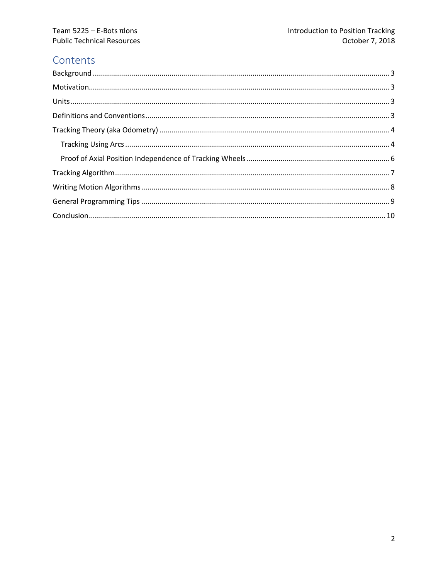# Contents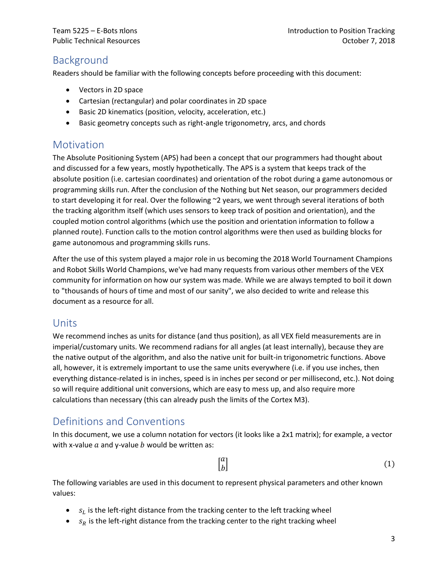# <span id="page-2-0"></span>Background

Readers should be familiar with the following concepts before proceeding with this document:

- Vectors in 2D space
- Cartesian (rectangular) and polar coordinates in 2D space
- Basic 2D kinematics (position, velocity, acceleration, etc.)
- Basic geometry concepts such as right-angle trigonometry, arcs, and chords

## <span id="page-2-1"></span>**Motivation**

The Absolute Positioning System (APS) had been a concept that our programmers had thought about and discussed for a few years, mostly hypothetically. The APS is a system that keeps track of the absolute position (i.e. cartesian coordinates) and orientation of the robot during a game autonomous or programming skills run. After the conclusion of the Nothing but Net season, our programmers decided to start developing it for real. Over the following ~2 years, we went through several iterations of both the tracking algorithm itself (which uses sensors to keep track of position and orientation), and the coupled motion control algorithms (which use the position and orientation information to follow a planned route). Function calls to the motion control algorithms were then used as building blocks for game autonomous and programming skills runs.

After the use of this system played a major role in us becoming the 2018 World Tournament Champions and Robot Skills World Champions, we've had many requests from various other members of the VEX community for information on how our system was made. While we are always tempted to boil it down to "thousands of hours of time and most of our sanity", we also decided to write and release this document as a resource for all.

# <span id="page-2-2"></span>Units

We recommend inches as units for distance (and thus position), as all VEX field measurements are in imperial/customary units. We recommend radians for all angles (at least internally), because they are the native output of the algorithm, and also the native unit for built-in trigonometric functions. Above all, however, it is extremely important to use the same units everywhere (i.e. if you use inches, then everything distance-related is in inches, speed is in inches per second or per millisecond, etc.). Not doing so will require additional unit conversions, which are easy to mess up, and also require more calculations than necessary (this can already push the limits of the Cortex M3).

# <span id="page-2-3"></span>Definitions and Conventions

In this document, we use a column notation for vectors (it looks like a 2x1 matrix); for example, a vector with x-value  $a$  and y-value  $b$  would be written as:

> $\int_{b}^{a}$  $\boldsymbol{b}$  $\vert$  (1)

The following variables are used in this document to represent physical parameters and other known values:

- $\bullet$  s<sub>L</sub> is the left-right distance from the tracking center to the left tracking wheel
- $s_R$  is the left-right distance from the tracking center to the right tracking wheel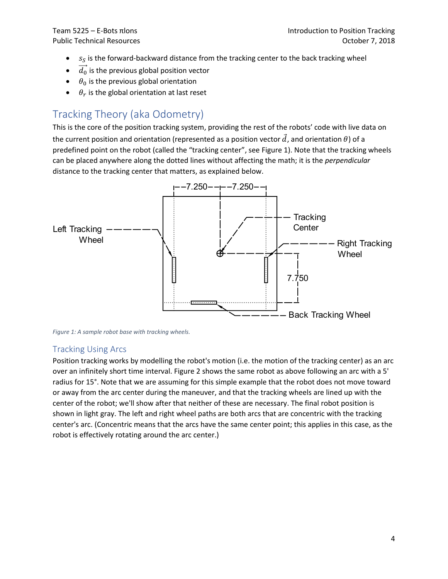- $\bullet$  s<sub>s</sub> is the forward-backward distance from the tracking center to the back tracking wheel
- $\bullet$   $\overrightarrow{d_0}$  is the previous global position vector
- $\bullet$   $\theta_0$  is the previous global orientation
- $\bullet$   $\theta_r$  is the global orientation at last reset

# <span id="page-3-0"></span>Tracking Theory (aka Odometry)

This is the core of the position tracking system, providing the rest of the robots' code with live data on the current position and orientation (represented as a position vector  $\vec{d}$ , and orientation  $\theta$ ) of a predefined point on the robot (called the "tracking center", see [Figure 1\)](#page-3-2). Note that the tracking wheels can be placed anywhere along the dotted lines without affecting the math; it is the *perpendicular* distance to the tracking center that matters, as explained below.



<span id="page-3-2"></span>*Figure 1: A sample robot base with tracking wheels.*

#### <span id="page-3-1"></span>Tracking Using Arcs

Position tracking works by modelling the robot's motion (i.e. the motion of the tracking center) as an arc over an infinitely short time interval. Figure 2 shows the same robot as above following an arc with a 5' radius for 15°. Note that we are assuming for this simple example that the robot does not move toward or away from the arc center during the maneuver, and that the tracking wheels are lined up with the center of the robot; we'll show after that neither of these are necessary. The final robot position is shown in light gray. The left and right wheel paths are both arcs that are concentric with the tracking center's arc. (Concentric means that the arcs have the same center point; this applies in this case, as the robot is effectively rotating around the arc center.)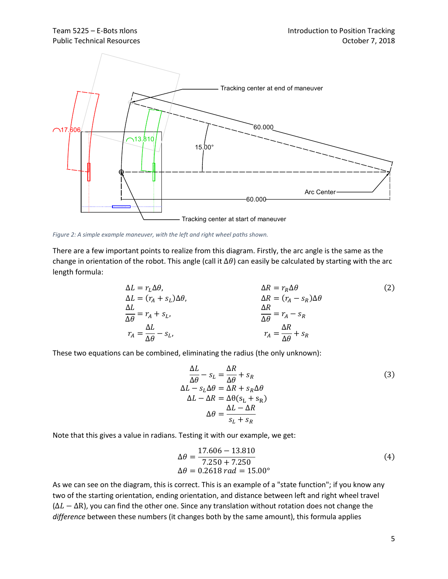

*Figure 2: A simple example maneuver, with the left and right wheel paths shown.*

There are a few important points to realize from this diagram. Firstly, the arc angle is the same as the change in orientation of the robot. This angle (call it  $\Delta\theta$ ) can easily be calculated by starting with the arc length formula:

$$
\Delta L = r_L \Delta \theta, \qquad \Delta R = r_R \Delta \theta
$$
\n
$$
\Delta L = (r_A + s_L) \Delta \theta, \qquad \Delta R = (r_A - s_R) \Delta \theta
$$
\n
$$
\frac{\Delta L}{\Delta \theta} = r_A + s_L, \qquad \frac{\Delta R}{\Delta \theta} = r_A - s_R
$$
\n
$$
r_A = \frac{\Delta L}{\Delta \theta} - s_L, \qquad r_A = \frac{\Delta R}{\Delta \theta} + s_R
$$
\n(2)

These two equations can be combined, eliminating the radius (the only unknown):

$$
\frac{\Delta L}{\Delta \theta} - s_L = \frac{\Delta R}{\Delta \theta} + s_R
$$
\n
$$
\Delta L - s_L \Delta \theta = \Delta R + s_R \Delta \theta
$$
\n
$$
\Delta L - \Delta R = \Delta \theta (s_L + s_R)
$$
\n
$$
\Delta \theta = \frac{\Delta L - \Delta R}{s_L + s_R}
$$
\n(3)

Note that this gives a value in radians. Testing it with our example, we get:

$$
\Delta\theta = \frac{17.606 - 13.810}{7.250 + 7.250}
$$
  
\n
$$
\Delta\theta = 0.2618 \, rad = 15.00^{\circ}
$$
 (4)

As we can see on the diagram, this is correct. This is an example of a "state function"; if you know any two of the starting orientation, ending orientation, and distance between left and right wheel travel  $(\Delta L - \Delta R)$ , you can find the other one. Since any translation without rotation does not change the *difference* between these numbers (it changes both by the same amount), this formula applies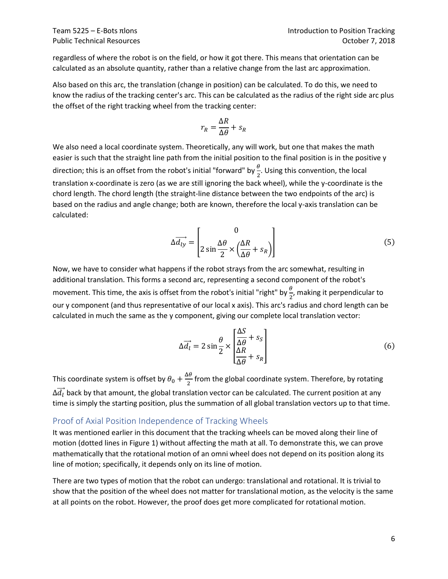regardless of where the robot is on the field, or how it got there. This means that orientation can be calculated as an absolute quantity, rather than a relative change from the last arc approximation.

Also based on this arc, the translation (change in position) can be calculated. To do this, we need to know the radius of the tracking center's arc. This can be calculated as the radius of the right side arc plus the offset of the right tracking wheel from the tracking center:

$$
r_R = \frac{\Delta R}{\Delta \theta} + s_R
$$

We also need a local coordinate system. Theoretically, any will work, but one that makes the math easier is such that the straight line path from the initial position to the final position is in the positive y direction; this is an offset from the robot's initial "forward" by  $\frac{\theta}{2}$ . Using this convention, the local translation x-coordinate is zero (as we are still ignoring the back wheel), while the y-coordinate is the chord length. The chord length (the straight-line distance between the two endpoints of the arc) is based on the radius and angle change; both are known, therefore the local y-axis translation can be calculated:

$$
\Delta \overrightarrow{d_{ly}} = \begin{bmatrix} 0 \\ 2 \sin \frac{\Delta \theta}{2} \times \left( \frac{\Delta R}{\Delta \theta} + s_R \right) \end{bmatrix}
$$
(5)

Now, we have to consider what happens if the robot strays from the arc somewhat, resulting in additional translation. This forms a second arc, representing a second component of the robot's movement. This time, the axis is offset from the robot's initial "right" by  $\frac{\theta}{2}$ , making it perpendicular to our y component (and thus representative of our local x axis). This arc's radius and chord length can be calculated in much the same as the y component, giving our complete local translation vector:

$$
\Delta \vec{a}_l = 2 \sin \frac{\theta}{2} \times \left[ \frac{\Delta S}{\Delta \theta} + s_S \right]
$$
(6)

This coordinate system is offset by  $\theta_0 + \frac{\Delta\theta}{2}$  $\frac{10}{2}$  from the global coordinate system. Therefore, by rotating  $\Delta \overrightarrow{d_l}$  back by that amount, the global translation vector can be calculated. The current position at any time is simply the starting position, plus the summation of all global translation vectors up to that time.

#### <span id="page-5-0"></span>Proof of Axial Position Independence of Tracking Wheels

It was mentioned earlier in this document that the tracking wheels can be moved along their line of motion (dotted lines in [Figure 1\)](#page-3-2) without affecting the math at all. To demonstrate this, we can prove mathematically that the rotational motion of an omni wheel does not depend on its position along its line of motion; specifically, it depends only on its line of motion.

There are two types of motion that the robot can undergo: translational and rotational. It is trivial to show that the position of the wheel does not matter for translational motion, as the velocity is the same at all points on the robot. However, the proof does get more complicated for rotational motion.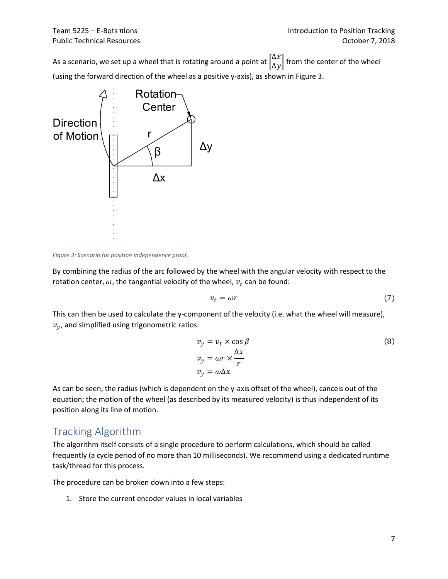As a scenario, we set up a wheel that is rotating around a point at  $\begin{bmatrix} \Delta x \\ \Delta y \end{bmatrix}$  $\begin{bmatrix} 2\pi \\ \Delta y \end{bmatrix}$  from the center of the wheel (using the forward direction of the wheel as a positive y-axis), as shown in [Figure 3.](#page-6-1)



<span id="page-6-1"></span>*Figure 3: Scenario for position independence proof.*

By combining the radius of the arc followed by the wheel with the angular velocity with respect to the rotation center,  $\omega$ , the tangential velocity of the wheel,  $v_t$  can be found:

$$
v_t = \omega r \tag{7}
$$

This can then be used to calculate the y-component of the velocity (i.e. what the wheel will measure),  $v_y$ , and simplified using trigonometric ratios:

$$
v_y = v_t \times \cos \beta
$$
  
\n
$$
v_y = \omega r \times \frac{\Delta x}{r}
$$
  
\n
$$
v_y = \omega \Delta x
$$
  
\n(8)

As can be seen, the radius (which is dependent on the y-axis offset of the wheel), cancels out of the equation; the motion of the wheel (as described by its measured velocity) is thus independent of its position along its line of motion.

# <span id="page-6-0"></span>Tracking Algorithm

The algorithm itself consists of a single procedure to perform calculations, which should be called frequently (a cycle period of no more than 10 milliseconds). We recommend using a dedicated runtime task/thread for this process.

The procedure can be broken down into a few steps:

1. Store the current encoder values in local variables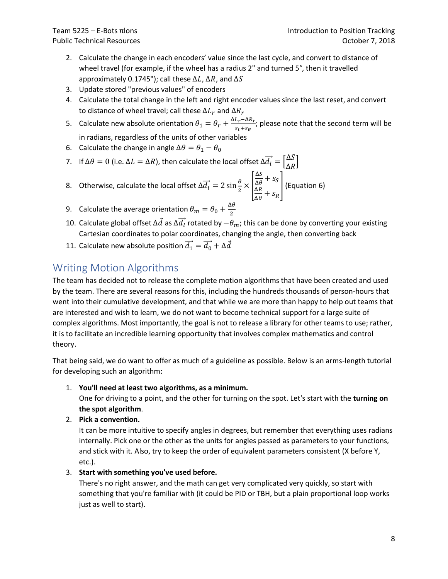- 2. Calculate the change in each encoders' value since the last cycle, and convert to distance of wheel travel (for example, if the wheel has a radius 2" and turned 5°, then it travelled approximately 0.1745"); call these  $\Delta L$ ,  $\Delta R$ , and  $\Delta S$
- 3. Update stored "previous values" of encoders
- 4. Calculate the total change in the left and right encoder values since the last reset, and convert to distance of wheel travel; call these  $\Delta L_r$  and  $\Delta R_r$
- 5. Calculate new absolute orientation  $\theta_1 = \theta_r + \frac{\Delta L_r \Delta R_r}{s_r + s_{\text{max}}}$  $\frac{L_r - \Delta N_r}{S_L + S_R}$ ; please note that the second term will be in radians, regardless of the units of other variables
- 6. Calculate the change in angle  $\Delta\theta = \theta_1 \theta_0$
- 7. If Δ $\theta = 0$  (i.e. Δ $L = \Delta R$ ), then calculate the local offset  $\Delta \overrightarrow{d}_l = \begin{bmatrix} \Delta S \\ \Delta B \end{bmatrix}$  $\frac{25}{\Delta R}$
- 8. Otherwise, calculate the local offset  $\Delta \vec{d}_l = 2 \sin \frac{\theta}{2} \times$ Δ  $\frac{\Delta S}{\Delta \theta} + S_S$  $\Delta R$  $\frac{\Delta R}{\Delta \theta} + s_R$ ] (Equation 6)
- 9. Calculate the average orientation  $\theta_m = \theta_0 + \frac{\Delta\theta}{2}$ 2
- 10. Calculate global offset  $\Delta\vec{d}$  as  $\Delta\vec{d_l}$  rotated by  $-\theta_m$ ; this can be done by converting your existing Cartesian coordinates to polar coordinates, changing the angle, then converting back
- 11. Calculate new absolute position  $\overrightarrow{d_1} = \overrightarrow{d_0} + \Delta \overrightarrow{d}$

# <span id="page-7-0"></span>Writing Motion Algorithms

The team has decided not to release the complete motion algorithms that have been created and used by the team. There are several reasons for this, including the hundreds thousands of person-hours that went into their cumulative development, and that while we are more than happy to help out teams that are interested and wish to learn, we do not want to become technical support for a large suite of complex algorithms. Most importantly, the goal is not to release a library for other teams to use; rather, it is to facilitate an incredible learning opportunity that involves complex mathematics and control theory.

That being said, we do want to offer as much of a guideline as possible. Below is an arms-length tutorial for developing such an algorithm:

#### 1. **You'll need at least two algorithms, as a minimum.**

One for driving to a point, and the other for turning on the spot. Let's start with the **turning on the spot algorithm**.

#### 2. **Pick a convention.**

It can be more intuitive to specify angles in degrees, but remember that everything uses radians internally. Pick one or the other as the units for angles passed as parameters to your functions, and stick with it. Also, try to keep the order of equivalent parameters consistent (X before Y, etc.).

#### 3. **Start with something you've used before.**

There's no right answer, and the math can get very complicated very quickly, so start with something that you're familiar with (it could be PID or TBH, but a plain proportional loop works just as well to start).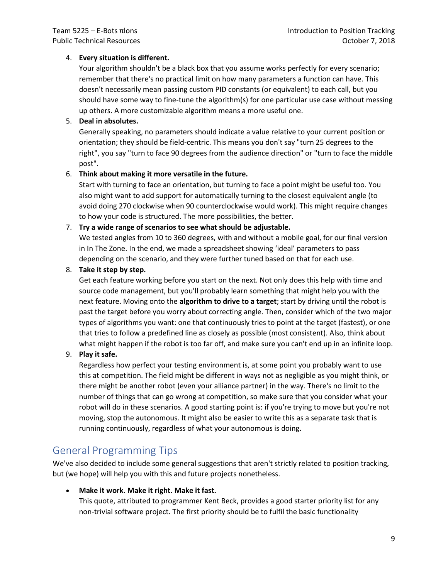#### 4. **Every situation is different.**

Your algorithm shouldn't be a black box that you assume works perfectly for every scenario; remember that there's no practical limit on how many parameters a function can have. This doesn't necessarily mean passing custom PID constants (or equivalent) to each call, but you should have some way to fine-tune the algorithm(s) for one particular use case without messing up others. A more customizable algorithm means a more useful one.

#### 5. **Deal in absolutes.**

Generally speaking, no parameters should indicate a value relative to your current position or orientation; they should be field-centric. This means you don't say "turn 25 degrees to the right", you say "turn to face 90 degrees from the audience direction" or "turn to face the middle post".

#### 6. **Think about making it more versatile in the future.**

Start with turning to face an orientation, but turning to face a point might be useful too. You also might want to add support for automatically turning to the closest equivalent angle (to avoid doing 270 clockwise when 90 counterclockwise would work). This might require changes to how your code is structured. The more possibilities, the better.

#### 7. **Try a wide range of scenarios to see what should be adjustable.**

We tested angles from 10 to 360 degrees, with and without a mobile goal, for our final version in In The Zone. In the end, we made a spreadsheet showing 'ideal' parameters to pass depending on the scenario, and they were further tuned based on that for each use.

#### 8. **Take it step by step.**

Get each feature working before you start on the next. Not only does this help with time and source code management, but you'll probably learn something that might help you with the next feature. Moving onto the **algorithm to drive to a target**; start by driving until the robot is past the target before you worry about correcting angle. Then, consider which of the two major types of algorithms you want: one that continuously tries to point at the target (fastest), or one that tries to follow a predefined line as closely as possible (most consistent). Also, think about what might happen if the robot is too far off, and make sure you can't end up in an infinite loop.

#### 9. **Play it safe.**

Regardless how perfect your testing environment is, at some point you probably want to use this at competition. The field might be different in ways not as negligible as you might think, or there might be another robot (even your alliance partner) in the way. There's no limit to the number of things that can go wrong at competition, so make sure that you consider what your robot will do in these scenarios. A good starting point is: if you're trying to move but you're not moving, stop the autonomous. It might also be easier to write this as a separate task that is running continuously, regardless of what your autonomous is doing.

### <span id="page-8-0"></span>General Programming Tips

We've also decided to include some general suggestions that aren't strictly related to position tracking, but (we hope) will help you with this and future projects nonetheless.

#### • **Make it work. Make it right. Make it fast.**

This quote, attributed to programmer Kent Beck, provides a good starter priority list for any non-trivial software project. The first priority should be to fulfil the basic functionality